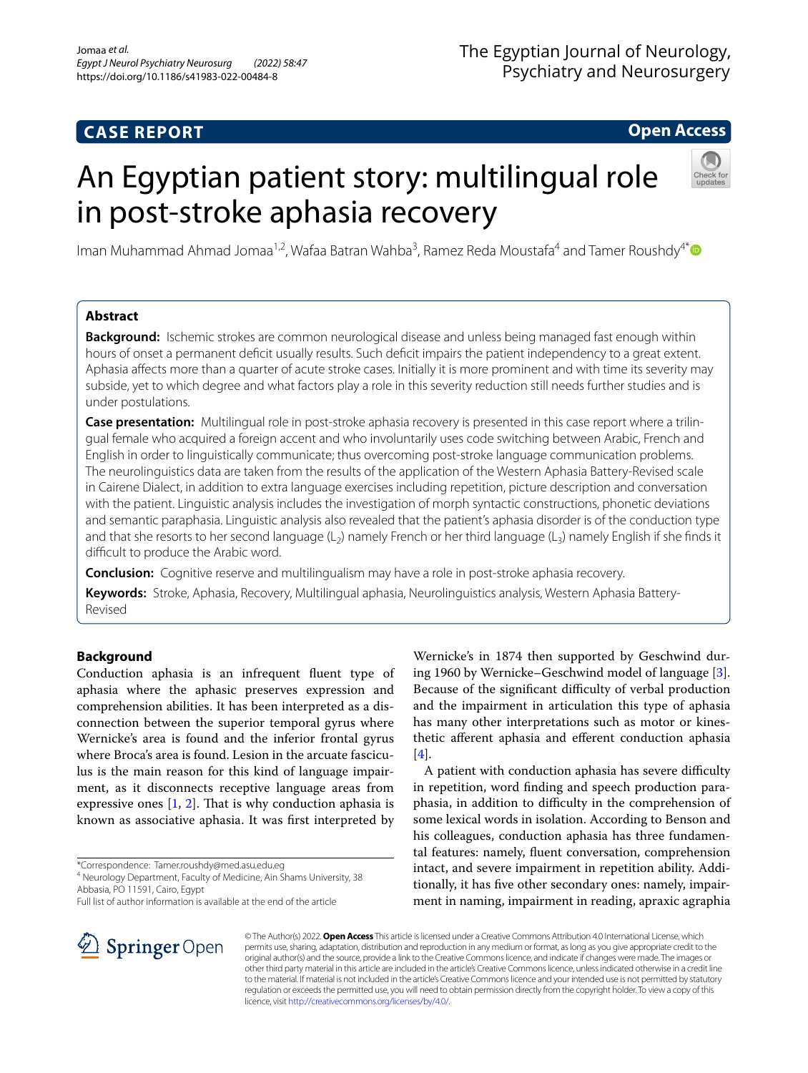# **CASE REPORT**

# **Open Access**

# An Egyptian patient story: multilingual role in post-stroke aphasia recovery



Iman Muhammad Ahmad Jomaa<sup>1,2</sup>, Wafaa Batran Wahba<sup>3</sup>, Ramez Reda Moustafa<sup>4</sup> and Tamer Roushdy<sup>4\*</sup>

# **Abstract**

**Background:** Ischemic strokes are common neurological disease and unless being managed fast enough within hours of onset a permanent defcit usually results. Such defcit impairs the patient independency to a great extent. Aphasia afects more than a quarter of acute stroke cases. Initially it is more prominent and with time its severity may subside, yet to which degree and what factors play a role in this severity reduction still needs further studies and is under postulations.

**Case presentation:** Multilingual role in post-stroke aphasia recovery is presented in this case report where a trilingual female who acquired a foreign accent and who involuntarily uses code switching between Arabic, French and English in order to linguistically communicate; thus overcoming post-stroke language communication problems. The neurolinguistics data are taken from the results of the application of the Western Aphasia Battery-Revised scale in Cairene Dialect, in addition to extra language exercises including repetition, picture description and conversation with the patient. Linguistic analysis includes the investigation of morph syntactic constructions, phonetic deviations and semantic paraphasia. Linguistic analysis also revealed that the patient's aphasia disorder is of the conduction type and that she resorts to her second language  $(L_2)$  namely French or her third language  $(L_3)$  namely English if she finds it difficult to produce the Arabic word.

**Conclusion:** Cognitive reserve and multilingualism may have a role in post-stroke aphasia recovery.

**Keywords:** Stroke, Aphasia, Recovery, Multilingual aphasia, Neurolinguistics analysis, Western Aphasia Battery-Revised

# **Background**

Conduction aphasia is an infrequent fuent type of aphasia where the aphasic preserves expression and comprehension abilities. It has been interpreted as a disconnection between the superior temporal gyrus where Wernicke's area is found and the inferior frontal gyrus where Broca's area is found. Lesion in the arcuate fasciculus is the main reason for this kind of language impairment, as it disconnects receptive language areas from expressive ones  $[1, 2]$  $[1, 2]$  $[1, 2]$  $[1, 2]$ . That is why conduction aphasia is known as associative aphasia. It was frst interpreted by

\*Correspondence: Tamer.roushdy@med.asu.edu.eg

4 Neurology Department, Faculty of Medicine, Ain Shams University, 38 Abbasia, PO 11591, Cairo, Egypt

Wernicke's in 1874 then supported by Geschwind during 1960 by Wernicke–Geschwind model of language [\[3](#page-5-2)]. Because of the significant difficulty of verbal production and the impairment in articulation this type of aphasia has many other interpretations such as motor or kinesthetic aferent aphasia and eferent conduction aphasia  $[4]$  $[4]$ .

A patient with conduction aphasia has severe difficulty in repetition, word fnding and speech production paraphasia, in addition to difficulty in the comprehension of some lexical words in isolation. According to Benson and his colleagues, conduction aphasia has three fundamental features: namely, fuent conversation, comprehension intact, and severe impairment in repetition ability. Additionally, it has fve other secondary ones: namely, impairment in naming, impairment in reading, apraxic agraphia



© The Author(s) 2022. **Open Access** This article is licensed under a Creative Commons Attribution 4.0 International License, which permits use, sharing, adaptation, distribution and reproduction in any medium or format, as long as you give appropriate credit to the original author(s) and the source, provide a link to the Creative Commons licence, and indicate if changes were made. The images or other third party material in this article are included in the article's Creative Commons licence, unless indicated otherwise in a credit line to the material. If material is not included in the article's Creative Commons licence and your intended use is not permitted by statutory regulation or exceeds the permitted use, you will need to obtain permission directly from the copyright holder. To view a copy of this licence, visit [http://creativecommons.org/licenses/by/4.0/.](http://creativecommons.org/licenses/by/4.0/)

Full list of author information is available at the end of the article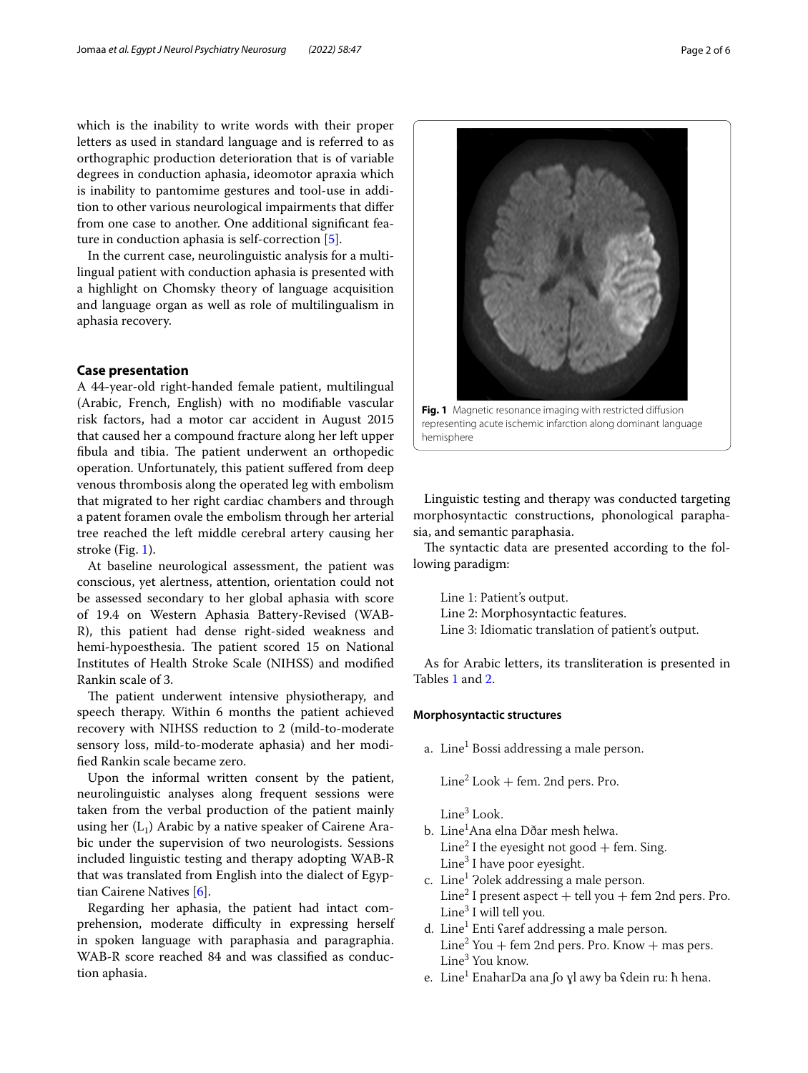which is the inability to write words with their proper letters as used in standard language and is referred to as orthographic production deterioration that is of variable degrees in conduction aphasia, ideomotor apraxia which is inability to pantomime gestures and tool-use in addition to other various neurological impairments that difer from one case to another. One additional signifcant feature in conduction aphasia is self-correction [\[5\]](#page-5-4).

In the current case, neurolinguistic analysis for a multilingual patient with conduction aphasia is presented with a highlight on Chomsky theory of language acquisition and language organ as well as role of multilingualism in aphasia recovery.

## **Case presentation**

A 44-year-old right-handed female patient, multilingual (Arabic, French, English) with no modifable vascular risk factors, had a motor car accident in August 2015 that caused her a compound fracture along her left upper fibula and tibia. The patient underwent an orthopedic operation. Unfortunately, this patient sufered from deep venous thrombosis along the operated leg with embolism that migrated to her right cardiac chambers and through a patent foramen ovale the embolism through her arterial tree reached the left middle cerebral artery causing her stroke (Fig. [1](#page-1-0)).

At baseline neurological assessment, the patient was conscious, yet alertness, attention, orientation could not be assessed secondary to her global aphasia with score of 19.4 on Western Aphasia Battery-Revised (WAB-R), this patient had dense right-sided weakness and hemi-hypoesthesia. The patient scored 15 on National Institutes of Health Stroke Scale (NIHSS) and modifed Rankin scale of 3.

The patient underwent intensive physiotherapy, and speech therapy. Within 6 months the patient achieved recovery with NIHSS reduction to 2 (mild-to-moderate sensory loss, mild-to-moderate aphasia) and her modifed Rankin scale became zero.

Upon the informal written consent by the patient, neurolinguistic analyses along frequent sessions were taken from the verbal production of the patient mainly using her  $(L_1)$  Arabic by a native speaker of Cairene Arabic under the supervision of two neurologists. Sessions included linguistic testing and therapy adopting WAB-R that was translated from English into the dialect of Egyptian Cairene Natives [\[6](#page-5-5)].

Regarding her aphasia, the patient had intact comprehension, moderate difficulty in expressing herself in spoken language with paraphasia and paragraphia. WAB-R score reached 84 and was classifed as conduction aphasia.

Linguistic testing and therapy was conducted targeting morphosyntactic constructions, phonological paraphasia, and semantic paraphasia.

<span id="page-1-0"></span>representing acute ischemic infarction along dominant language

The syntactic data are presented according to the following paradigm:

Line 1: Patient's output. Line 2: Morphosyntactic features. Line 3: Idiomatic translation of patient's output.

As for Arabic letters, its transliteration is presented in Tables [1](#page-2-0) and [2.](#page-2-1)

#### **Morphosyntactic structures**

hemisphere

a. Line<sup>1</sup> Bossi addressing a male person.

 $Line<sup>2</sup> Look + fem. 2nd pers. Pro.$ 

Line<sup>3</sup> Look.

- b. Line<sup>1</sup>Ana elna Dðar mesh <mark>h</mark>elwa. Line<sup>2</sup> I the eyesight not good + fem. Sing. Line<sup>3</sup> I have poor eyesight.
- c. Line<sup>1</sup> ?olek addressing a male person. Line<sup>2</sup> I present aspect  $+$  tell you  $+$  fem 2nd pers. Pro. Line<sup>3</sup> I will tell you.
- d. Line<sup>1</sup> Enti Saref addressing a male person.  $\text{Line}^2$  You + fem 2nd pers. Pro. Know + mas pers. Line<sup>3</sup> You know.
- e. Line<sup>1</sup> EnaharDa ana ∫o ɣl awy ba ʕdein ru: ħ hena.

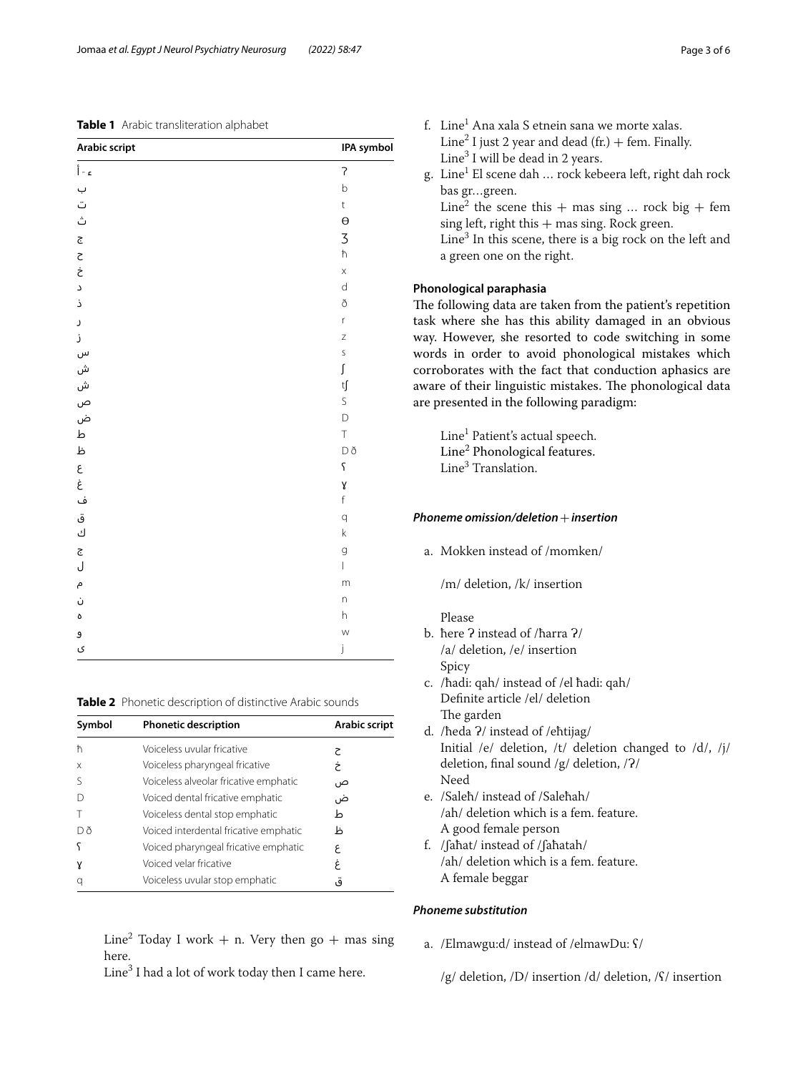## <span id="page-2-0"></span>**Table 1** Arabic transliteration alphabet

| <b>Arabic script</b> | IPA symbol                            |
|----------------------|---------------------------------------|
| ءَ - أ               | $\overline{\mathcal{C}}$              |
| ب                    | $\mathsf b$                           |
| ت                    | $\mathsf t$                           |
| ڽ                    | $\Theta$                              |
| ج                    | 3                                     |
| $\zeta$              | $\hbar$                               |
| خ                    | $\mathsf X$                           |
| ć                    | $\operatorname{\mathsf{d}}$           |
| ذ                    | ð                                     |
| J                    | r                                     |
| j                    | $\mathsf Z$                           |
| س                    | $\sf S$                               |
| ش                    | $\int$                                |
|                      | tſ                                    |
| ش<br>ص               | $\mathsf S$                           |
| ض                    | $\overline{D}$                        |
| $\, \Delta$          | $\top$                                |
| ظ                    | Dð                                    |
| ع<br>غ               | $\varsigma$                           |
|                      | γ                                     |
| ف                    | $\mathsf{f}$                          |
| ق                    | q                                     |
| ك                    | $\mathsf k$                           |
| ج                    | g                                     |
| J                    | $\begin{array}{c} \hline \end{array}$ |
| م                    | m                                     |
| Ù                    | n                                     |
| ٥                    | $\boldsymbol{\mathsf{h}}$             |
| و                    | W                                     |
| ی                    | j                                     |

<span id="page-2-1"></span>**Table 2** Phonetic description of distinctive Arabic sounds

| Symbol | <b>Phonetic description</b>           | Arabic script |
|--------|---------------------------------------|---------------|
| ħ      | Voiceless uvular fricative            | ج             |
| X      | Voiceless pharyngeal fricative        | خ             |
|        | Voiceless alveolar fricative emphatic | ص             |
|        | Voiced dental fricative emphatic      | ض             |
|        | Voiceless dental stop emphatic        | ط             |
| Dð     | Voiced interdental fricative emphatic | ظ             |
|        | Voiced pharyngeal fricative emphatic  | ٤             |
| γ      | Voiced velar fricative                | غ             |
| q      | Voiceless uvular stop emphatic        | ٯ             |

 $\text{Line}^2$  Today I work + n. Very then go + mas sing here.

Line $^3$  I had a lot of work today then I came here.

| f. Line <sup>1</sup> Ana xala S etnein sana we morte xalas.          |
|----------------------------------------------------------------------|
| Line <sup>2</sup> I just 2 year and dead (fr.) + fem. Finally.       |
| Line <sup>3</sup> I will be dead in 2 years.                         |
| g. Line <sup>1</sup> El scene dah  rock kebeera left, right dah rock |
| bas grgreen.                                                         |
| Line <sup>2</sup> the scene this + mas sing  rock big + fem          |
| sing left, right this $+$ mas sing. Rock green.                      |
| Line <sup>3</sup> In this scene, there is a big rock on the left and |
| a green one on the right.                                            |
|                                                                      |

# **Phonological paraphasia**

The following data are taken from the patient's repetition task where she has this ability damaged in an obvious way. However, she resorted to code switching in some words in order to avoid phonological mistakes which corroborates with the fact that conduction aphasics are aware of their linguistic mistakes. The phonological data are presented in the following paradigm:

Line<sup>1</sup> Patient's actual speech. Line<sup>2</sup> Phonological features. Line<sup>3</sup> Translation.

## *Phoneme omission/deletion*+*insertion*

a. Mokken instead of /momken/

/m/ deletion, /k/ insertion

## Please

- b. here ? instead of /ħarra ?/ /a/ deletion, /e/ insertion Spicy
- c. /ħadi: qah/ instead of /el ħadi: qah/ Defnite article /el/ deletion The garden
- d. /heda ?/ instead of /ehtijag/ Initial /e/ deletion, /t/ deletion changed to /d/, /j/ deletion, final sound /g/ deletion, /?/ Need
- e. /Saleħ/ instead of /Saleħah/ /ah/ deletion which is a fem. feature. A good female person
- f. /ʃaħat/ instead of /ʃaħatah/ /ah/ deletion which is a fem. feature. A female beggar

# *Phoneme substitution*

- a. /Elmawgu:d/ instead of /elmawDu: ʕ/
	- /g/ deletion, /D/ insertion /d/ deletion, /ʕ/ insertion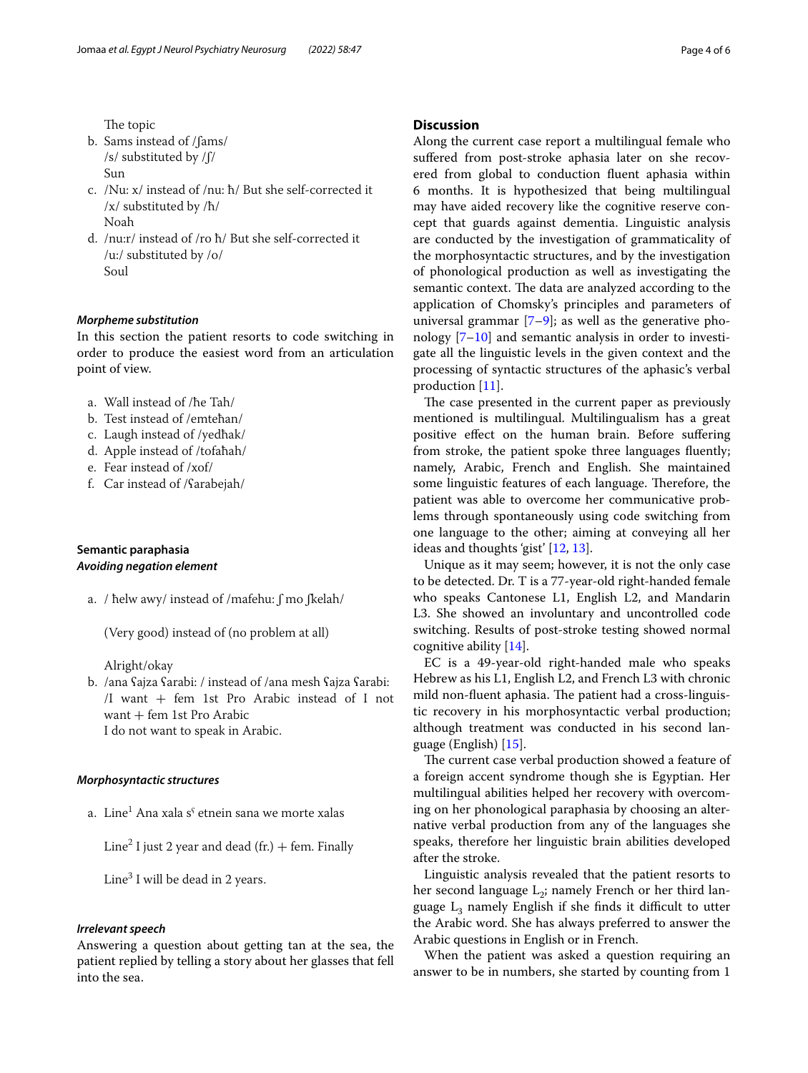- b. Sams instead of /ʃams/ /s/ substituted by /ʃ/ Sun
- c. /Nu: x/ instead of /nu: ħ/ But she self-corrected it /x/ substituted by /ħ/ Noah
- d. /nu:r/ instead of /ro ħ/ But she self-corrected it /u:/ substituted by /o/ Soul

## *Morpheme substitution*

In this section the patient resorts to code switching in order to produce the easiest word from an articulation point of view.

- a. Wall instead of /ħe Tah/
- b. Test instead of /emteħan/
- c. Laugh instead of /yedħak/
- d. Apple instead of /tofaħah/
- e. Fear instead of /xof/
- f. Car instead of /ʕarabejah/

# **Semantic paraphasia** *Avoiding negation element*

a. / ħelw awy/ instead of /mafehu: ʃ mo ʃkelah/

(Very good) instead of (no problem at all)

Alright/okay

b. /ana ʕajza ʕarabi: / instead of /ana mesh ʕajza ʕarabi: /I want  $+$  fem 1st Pro Arabic instead of I not want  $+$  fem 1st Pro Arabic I do not want to speak in Arabic.

## *Morphosyntactic structures*

a. Line $^{\rm 1}$  Ana xala s $^{\rm c}$  etnein sana we morte xalas

Line<sup>2</sup> I just 2 year and dead (fr.)  $+$  fem. Finally

Line<sup>3</sup> I will be dead in 2 years.

## *Irrelevant speech*

Answering a question about getting tan at the sea, the patient replied by telling a story about her glasses that fell into the sea.

# **Discussion**

Along the current case report a multilingual female who sufered from post-stroke aphasia later on she recovered from global to conduction fuent aphasia within 6 months. It is hypothesized that being multilingual may have aided recovery like the cognitive reserve concept that guards against dementia. Linguistic analysis are conducted by the investigation of grammaticality of the morphosyntactic structures, and by the investigation of phonological production as well as investigating the semantic context. The data are analyzed according to the application of Chomsky's principles and parameters of universal grammar  $[7-9]$  $[7-9]$ ; as well as the generative phonology [[7–](#page-5-6)[10\]](#page-5-8) and semantic analysis in order to investigate all the linguistic levels in the given context and the processing of syntactic structures of the aphasic's verbal production [\[11\]](#page-5-9).

The case presented in the current paper as previously mentioned is multilingual. Multilingualism has a great positive efect on the human brain. Before sufering from stroke, the patient spoke three languages fuently; namely, Arabic, French and English. She maintained some linguistic features of each language. Therefore, the patient was able to overcome her communicative problems through spontaneously using code switching from one language to the other; aiming at conveying all her ideas and thoughts 'gist' [[12](#page-5-10), [13\]](#page-5-11).

Unique as it may seem; however, it is not the only case to be detected. Dr. T is a 77-year-old right-handed female who speaks Cantonese L1, English L2, and Mandarin L3. She showed an involuntary and uncontrolled code switching. Results of post-stroke testing showed normal cognitive ability [[14\]](#page-5-12).

EC is a 49-year-old right-handed male who speaks Hebrew as his L1, English L2, and French L3 with chronic mild non-fluent aphasia. The patient had a cross-linguistic recovery in his morphosyntactic verbal production; although treatment was conducted in his second language (English) [[15\]](#page-5-13).

The current case verbal production showed a feature of a foreign accent syndrome though she is Egyptian. Her multilingual abilities helped her recovery with overcoming on her phonological paraphasia by choosing an alternative verbal production from any of the languages she speaks, therefore her linguistic brain abilities developed after the stroke.

Linguistic analysis revealed that the patient resorts to her second language  $L_2$ ; namely French or her third language  $L_3$  namely English if she finds it difficult to utter the Arabic word. She has always preferred to answer the Arabic questions in English or in French.

When the patient was asked a question requiring an answer to be in numbers, she started by counting from 1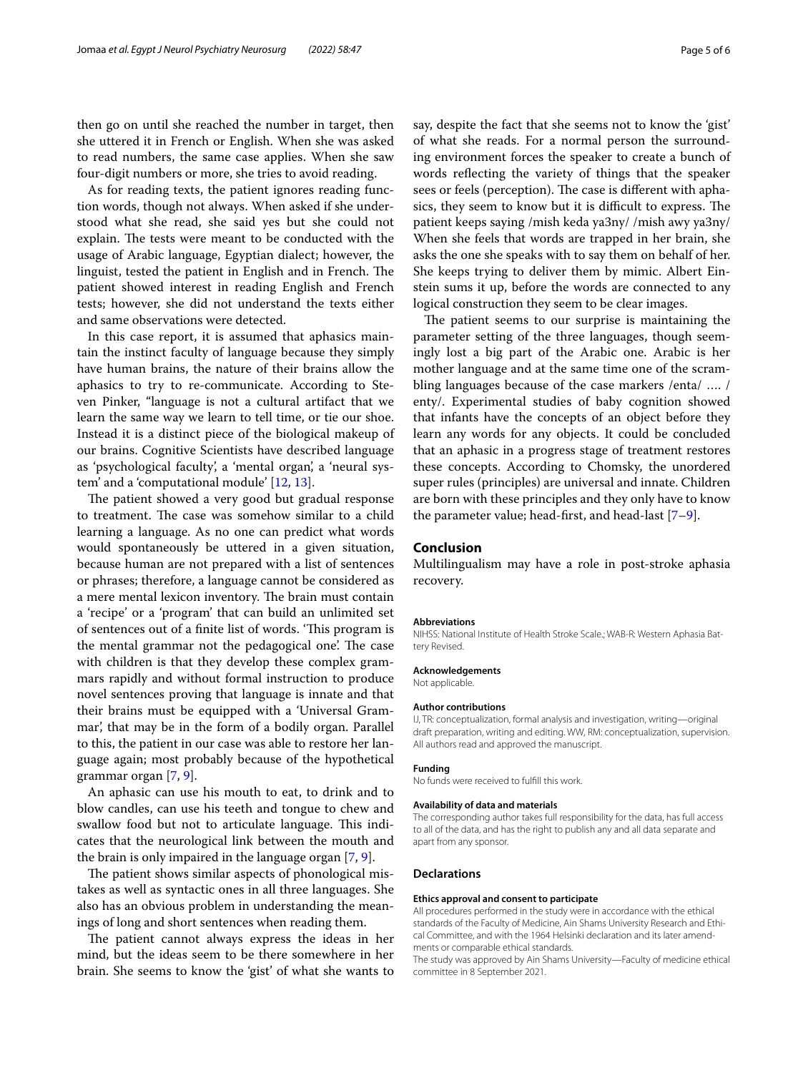then go on until she reached the number in target, then she uttered it in French or English. When she was asked to read numbers, the same case applies. When she saw four-digit numbers or more, she tries to avoid reading.

As for reading texts, the patient ignores reading function words, though not always. When asked if she understood what she read, she said yes but she could not explain. The tests were meant to be conducted with the usage of Arabic language, Egyptian dialect; however, the linguist, tested the patient in English and in French. The patient showed interest in reading English and French tests; however, she did not understand the texts either and same observations were detected.

In this case report, it is assumed that aphasics maintain the instinct faculty of language because they simply have human brains, the nature of their brains allow the aphasics to try to re-communicate. According to Steven Pinker, "language is not a cultural artifact that we learn the same way we learn to tell time, or tie our shoe. Instead it is a distinct piece of the biological makeup of our brains. Cognitive Scientists have described language as 'psychological faculty', a 'mental organ', a 'neural system' and a 'computational module' [\[12](#page-5-10), [13\]](#page-5-11).

The patient showed a very good but gradual response to treatment. The case was somehow similar to a child learning a language. As no one can predict what words would spontaneously be uttered in a given situation, because human are not prepared with a list of sentences or phrases; therefore, a language cannot be considered as a mere mental lexicon inventory. The brain must contain a 'recipe' or a 'program' that can build an unlimited set of sentences out of a finite list of words. 'This program is the mental grammar not the pedagogical one. The case with children is that they develop these complex grammars rapidly and without formal instruction to produce novel sentences proving that language is innate and that their brains must be equipped with a 'Universal Grammar', that may be in the form of a bodily organ. Parallel to this, the patient in our case was able to restore her language again; most probably because of the hypothetical grammar organ [[7,](#page-5-6) [9](#page-5-7)].

An aphasic can use his mouth to eat, to drink and to blow candles, can use his teeth and tongue to chew and swallow food but not to articulate language. This indicates that the neurological link between the mouth and the brain is only impaired in the language organ [[7,](#page-5-6) [9](#page-5-7)].

The patient shows similar aspects of phonological mistakes as well as syntactic ones in all three languages. She also has an obvious problem in understanding the meanings of long and short sentences when reading them.

The patient cannot always express the ideas in her mind, but the ideas seem to be there somewhere in her brain. She seems to know the 'gist' of what she wants to say, despite the fact that she seems not to know the 'gist' of what she reads. For a normal person the surrounding environment forces the speaker to create a bunch of words refecting the variety of things that the speaker sees or feels (perception). The case is different with aphasics, they seem to know but it is difficult to express. The patient keeps saying /mish keda ya3ny/ /mish awy ya3ny/ When she feels that words are trapped in her brain, she asks the one she speaks with to say them on behalf of her. She keeps trying to deliver them by mimic. Albert Einstein sums it up, before the words are connected to any logical construction they seem to be clear images.

The patient seems to our surprise is maintaining the parameter setting of the three languages, though seemingly lost a big part of the Arabic one. Arabic is her mother language and at the same time one of the scrambling languages because of the case markers /enta/ …. / enty/. Experimental studies of baby cognition showed that infants have the concepts of an object before they learn any words for any objects. It could be concluded that an aphasic in a progress stage of treatment restores these concepts. According to Chomsky, the unordered super rules (principles) are universal and innate. Children are born with these principles and they only have to know the parameter value; head-frst, and head-last [\[7](#page-5-6)[–9\]](#page-5-7).

## **Conclusion**

Multilingualism may have a role in post-stroke aphasia recovery.

#### **Abbreviations**

NIHSS: National Institute of Health Stroke Scale.; WAB-R: Western Aphasia Battery Revised.

#### **Acknowledgements** Not applicable.

#### **Author contributions**

IJ, TR: conceptualization, formal analysis and investigation, writing—original draft preparation, writing and editing. WW, RM: conceptualization, supervision. All authors read and approved the manuscript.

#### **Funding**

No funds were received to fulfll this work.

#### **Availability of data and materials**

The corresponding author takes full responsibility for the data, has full access to all of the data, and has the right to publish any and all data separate and apart from any sponsor.

#### **Declarations**

#### **Ethics approval and consent to participate**

All procedures performed in the study were in accordance with the ethical standards of the Faculty of Medicine, Ain Shams University Research and Ethical Committee, and with the 1964 Helsinki declaration and its later amendments or comparable ethical standards.

The study was approved by Ain Shams University—Faculty of medicine ethical committee in 8 September 2021.